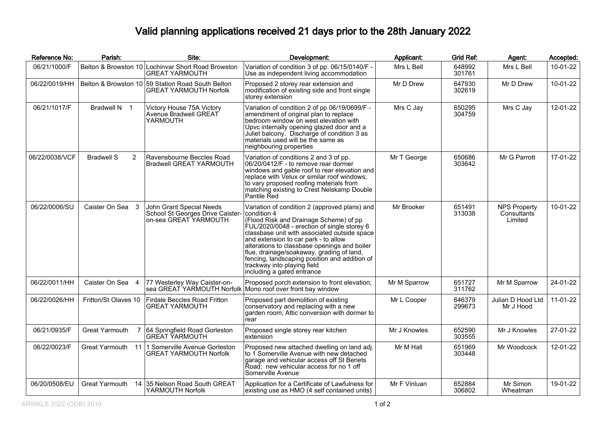## Valid planning applications received 21 days prior to the 28th January 2022

| Reference No:  | Parish:                          | Site:                                                                                      | Development:                                                                                                                                                                                                                                                                                                                                                                                                                                             | Applicant:   | <b>Grid Ref:</b> | Agent:                                        | Accepted: |
|----------------|----------------------------------|--------------------------------------------------------------------------------------------|----------------------------------------------------------------------------------------------------------------------------------------------------------------------------------------------------------------------------------------------------------------------------------------------------------------------------------------------------------------------------------------------------------------------------------------------------------|--------------|------------------|-----------------------------------------------|-----------|
| 06/21/1000/F   |                                  | Belton & Browston 10 Lochinvar Short Road Browston<br><b>GREAT YARMOUTH</b>                | Variation of condition 3 of pp. 06/15/0140/F -<br>Use as independent living accommodation                                                                                                                                                                                                                                                                                                                                                                | Mrs L Bell   | 648992<br>301761 | Mrs L Bell                                    | 10-01-22  |
| 06/22/0019/HH  |                                  | Belton & Browston 10 59 Station Road South Belton<br><b>GREAT YARMOUTH Norfolk</b>         | Proposed 2 storey rear extension and<br>modification of existing side and front single<br>storey extension                                                                                                                                                                                                                                                                                                                                               | Mr D Drew    | 647930<br>302619 | Mr D Drew                                     | 10-01-22  |
| 06/21/1017/F   | Bradwell N 1                     | Victory House 75A Victory<br>Avenue Bradwell GREAT<br>YARMOUTH                             | Variation of condition 2 of pp 06/19/0699/F -<br>amendment of original plan to replace<br>bedroom window on west elevation with<br>Upvc internally opening glazed door and a<br>Juliet balcony. Discharge of condition 3 as<br>materials used will be the same as<br>neighbouring properties                                                                                                                                                             | Mrs C Jay    | 650295<br>304759 | Mrs C Jay                                     | 12-01-22  |
| 06/22/0038/VCF | <b>Bradwell S</b><br>2           | Ravensbourne Beccles Road<br><b>Bradwell GREAT YARMOUTH</b>                                | Variation of conditions 2 and 3 of pp.<br>106/20/0412/F - to remove rear dormer<br>windows and gable roof to rear elevation and<br>replace with Velux or similar roof windows;<br>to vary proposed roofing materials from<br>matching existing to Crest Nelskamp Double<br>Pantile Řed                                                                                                                                                                   | Mr T George  | 650686<br>303642 | Mr G Parrott                                  | 17-01-22  |
| 06/22/0006/SU  | Caister On Sea 3                 | John Grant Special Needs<br>School St Georges Drive Caister-<br>on-sea GREAT YARMOUTH      | Variation of condition 2 (approved plans) and<br>condition 4<br>(Flood Risk and Drainage Scheme) of pp<br>FUL/2020/0048 - erection of single storey 6<br>classbase unit with associated outside space<br>and extension to car park - to allow<br>alterations to classbase openings and boiler<br>flue, drainage/soakaway, grading of land,<br>fencing, landscaping position and addition of<br>trackway into playing field<br>including a gated entrance | Mr Brooker   | 651491<br>313038 | <b>NPS Property</b><br>Consultants<br>Limited | 10-01-22  |
| 06/22/0011/HH  | Caister On Sea 4                 | 77 Westerley Way Caister-on-<br>sea GREAT YARMOUTH Norfolk Mono roof over front bay window | Proposed porch extension to front elevation;                                                                                                                                                                                                                                                                                                                                                                                                             | Mr M Sparrow | 651727<br>311762 | Mr M Sparrow                                  | 24-01-22  |
| 06/22/0026/HH  | Fritton/St Olaves 10             | Firdale Beccles Road Fritton<br><b>GREAT YARMOUTH</b>                                      | Proposed part demolition of existing<br>conservatory and replacing with a new<br>garden room; Attic conversion with dormer to<br>rear                                                                                                                                                                                                                                                                                                                    | Mr L Cooper  | 646379<br>299673 | Julian D Hood Ltd<br>Mr J Hood                | 11-01-22  |
| 06/21/0935/F   | Great Yarmouth<br>$\overline{7}$ | 64 Springfield Road Gorleston<br><b>GREAT YARMOUTH</b>                                     | Proposed single storey rear kitchen<br>lextension                                                                                                                                                                                                                                                                                                                                                                                                        | Mr J Knowles | 652590<br>303555 | Mr J Knowles                                  | 27-01-22  |
| 06/22/0023/F   | Great Yarmouth 11                | 1 Somerville Avenue Gorleston<br><b>GREAT YARMOUTH Norfolk</b>                             | Proposed new attached dwelling on land adj.<br>to 1 Somerville Avenue with new detached<br>garage and vehicular access off St Benets<br>Road; new vehicular access for no 1 off<br>Somerville Avenue                                                                                                                                                                                                                                                     | Mr M Hall    | 651969<br>303448 | Mr Woodcock                                   | 12-01-22  |
| 06/20/0508/EU  | <b>Great Yarmouth</b><br>14      | 35 Nelson Road South GREAT<br>YARMOUTH Norfolk                                             | Application for a Certificate of Lawfulness for<br>existing use as HMO (4 self contained units)                                                                                                                                                                                                                                                                                                                                                          | Mr F Vinluan | 652884<br>306802 | Mr Simon<br>Wheatman                          | 19-01-22  |